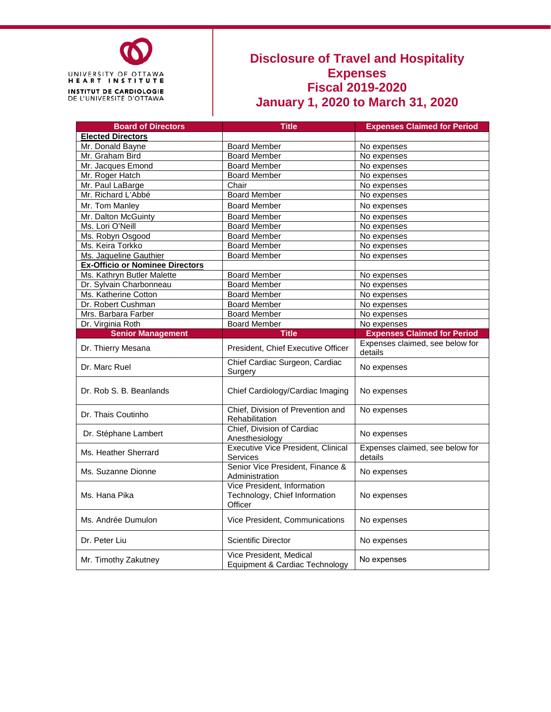

## **Disclosure of Travel and Hospitality Expenses Fiscal 2019-2020 January 1, 2020 to March 31, 2020**

| <b>Board of Directors</b>              | <b>Title</b><br><b>Expenses Claimed for Period</b>                      |                                            |
|----------------------------------------|-------------------------------------------------------------------------|--------------------------------------------|
| <b>Elected Directors</b>               |                                                                         |                                            |
| Mr. Donald Bayne                       | <b>Board Member</b>                                                     | No expenses                                |
| Mr. Graham Bird                        | <b>Board Member</b>                                                     | No expenses                                |
| Mr. Jacques Emond                      | <b>Board Member</b>                                                     | No expenses                                |
| Mr. Roger Hatch                        | <b>Board Member</b>                                                     | No expenses                                |
| Mr. Paul LaBarge                       | Chair                                                                   | No expenses                                |
| Mr. Richard L'Abbé                     | <b>Board Member</b>                                                     | No expenses                                |
| Mr. Tom Manley                         | <b>Board Member</b>                                                     | No expenses                                |
| Mr. Dalton McGuinty                    | <b>Board Member</b>                                                     | No expenses                                |
| Ms. Lori O'Neill                       | <b>Board Member</b>                                                     | No expenses                                |
| Ms. Robyn Osgood                       | <b>Board Member</b>                                                     | No expenses                                |
| Ms. Keira Torkko                       | <b>Board Member</b>                                                     | No expenses                                |
| Ms. Jaqueline Gauthier                 | <b>Board Member</b>                                                     | No expenses                                |
| <b>Ex-Officio or Nominee Directors</b> |                                                                         |                                            |
| Ms. Kathryn Butler Malette             | <b>Board Member</b>                                                     | No expenses                                |
| Dr. Sylvain Charbonneau                | <b>Board Member</b>                                                     | No expenses                                |
| Ms. Katherine Cotton                   | <b>Board Member</b>                                                     | No expenses                                |
| Dr. Robert Cushman                     | <b>Board Member</b>                                                     | No expenses                                |
| Mrs. Barbara Farber                    | <b>Board Member</b>                                                     | No expenses                                |
| Dr. Virginia Roth                      | <b>Board Member</b>                                                     | No expenses                                |
| <b>Senior Management</b>               | <b>Title</b>                                                            | <b>Expenses Claimed for Period</b>         |
| Dr. Thierry Mesana                     | President, Chief Executive Officer                                      | Expenses claimed, see below for<br>details |
| Dr. Marc Ruel                          | Chief Cardiac Surgeon, Cardiac<br>Surgery                               | No expenses                                |
| Dr. Rob S. B. Beanlands                | Chief Cardiology/Cardiac Imaging                                        | No expenses                                |
| Dr. Thais Coutinho                     | Chief, Division of Prevention and<br>Rehabilitation                     | No expenses                                |
| Dr. Stéphane Lambert                   | Chief, Division of Cardiac<br>Anesthesiology                            | No expenses                                |
| Ms. Heather Sherrard                   | <b>Executive Vice President, Clinical</b><br>Services                   | Expenses claimed, see below for<br>details |
| Ms. Suzanne Dionne                     | Senior Vice President, Finance &<br>Administration                      | No expenses                                |
| Ms. Hana Pika                          | Vice President, Information<br>Technology, Chief Information<br>Officer | No expenses                                |
| Ms. Andrée Dumulon                     | Vice President, Communications                                          | No expenses                                |
| Dr. Peter Liu                          | <b>Scientific Director</b>                                              | No expenses                                |
| Mr. Timothy Zakutney                   | Vice President, Medical<br>Equipment & Cardiac Technology               | No expenses                                |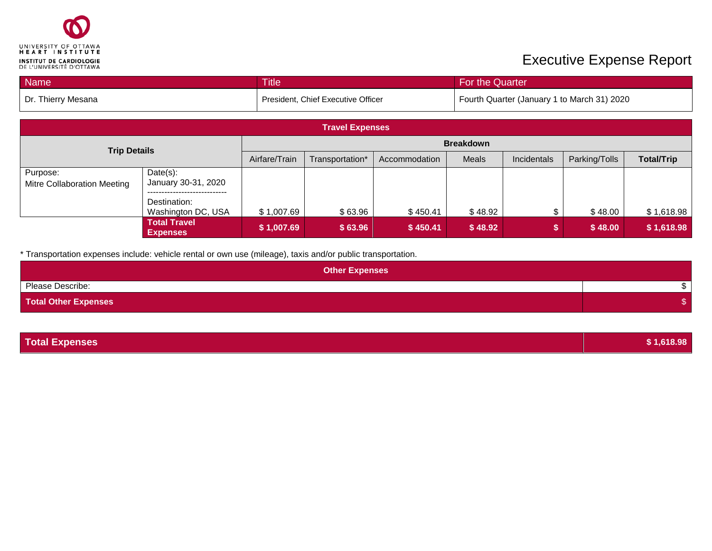

## **Executive Expense Report**

| <b>Name</b>        | <b>Title</b>                       | For the Quarter                             |
|--------------------|------------------------------------|---------------------------------------------|
| Dr. Thierry Mesana | President, Chief Executive Officer | Fourth Quarter (January 1 to March 31) 2020 |

| <b>Travel Expenses</b>                  |                                                                    |                                                                                                                 |         |          |         |  |         |            |
|-----------------------------------------|--------------------------------------------------------------------|-----------------------------------------------------------------------------------------------------------------|---------|----------|---------|--|---------|------------|
| <b>Trip Details</b>                     |                                                                    | <b>Breakdown</b>                                                                                                |         |          |         |  |         |            |
|                                         |                                                                    | Airfare/Train<br><b>Total/Trip</b><br>Meals<br>Parking/Tolls<br>Incidentals<br>Transportation*<br>Accommodation |         |          |         |  |         |            |
| Purpose:<br>Mitre Collaboration Meeting | $Date(s)$ :<br>January 30-31, 2020<br>---------------------------- |                                                                                                                 |         |          |         |  |         |            |
|                                         | Destination:<br>Washington DC, USA                                 | \$1,007.69                                                                                                      | \$63.96 | \$450.41 | \$48.92 |  | \$48.00 | \$1,618.98 |
|                                         | <b>Total Travel</b><br><b>Expenses</b>                             | \$1,007.69                                                                                                      | \$63.96 | \$450.41 | \$48.92 |  | \$48.00 | \$1,618.98 |

\* Transportation expenses include: vehicle rental or own use (mileage), taxis and/or public transportation.

| <b>Other Expenses</b>       |  |
|-----------------------------|--|
| Please Describe:            |  |
| <b>Total Other Expenses</b> |  |

| <b>Total Expenses</b> | \$1,618.98 |
|-----------------------|------------|
|                       |            |